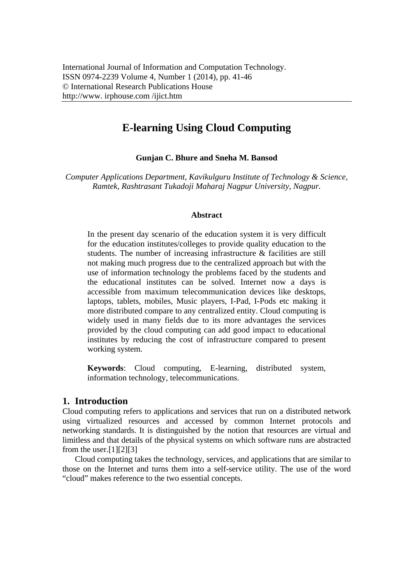# **E-learning Using Cloud Computing**

#### **Gunjan C. Bhure and Sneha M. Bansod**

*Computer Applications Department, Kavikulguru Institute of Technology & Science, Ramtek, Rashtrasant Tukadoji Maharaj Nagpur University, Nagpur.* 

#### **Abstract**

In the present day scenario of the education system it is very difficult for the education institutes/colleges to provide quality education to the students. The number of increasing infrastructure & facilities are still not making much progress due to the centralized approach but with the use of information technology the problems faced by the students and the educational institutes can be solved. Internet now a days is accessible from maximum telecommunication devices like desktops, laptops, tablets, mobiles, Music players, I-Pad, I-Pods etc making it more distributed compare to any centralized entity. Cloud computing is widely used in many fields due to its more advantages the services provided by the cloud computing can add good impact to educational institutes by reducing the cost of infrastructure compared to present working system.

**Keywords**: Cloud computing, E-learning, distributed system, information technology, telecommunications.

# **1. Introduction**

Cloud computing refers to applications and services that run on a distributed network using virtualized resources and accessed by common Internet protocols and networking standards. It is distinguished by the notion that resources are virtual and limitless and that details of the physical systems on which software runs are abstracted from the user. $[1][2][3]$ 

Cloud computing takes the technology, services, and applications that are similar to those on the Internet and turns them into a self-service utility. The use of the word "cloud" makes reference to the two essential concepts.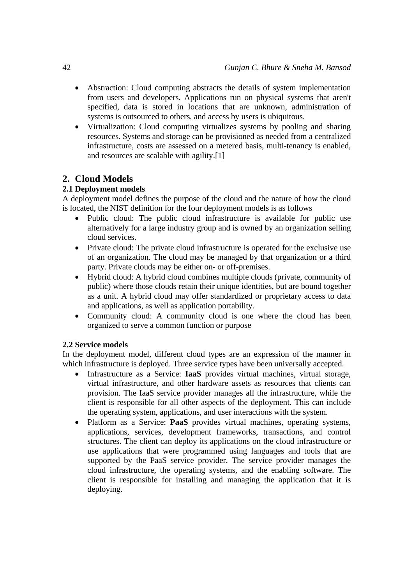- Abstraction: Cloud computing abstracts the details of system implementation from users and developers. Applications run on physical systems that aren't specified, data is stored in locations that are unknown, administration of systems is outsourced to others, and access by users is ubiquitous.
- Virtualization: Cloud computing virtualizes systems by pooling and sharing resources. Systems and storage can be provisioned as needed from a centralized infrastructure, costs are assessed on a metered basis, multi-tenancy is enabled, and resources are scalable with agility.[1]

# **2. Cloud Models**

# **2.1 Deployment models**

A deployment model defines the purpose of the cloud and the nature of how the cloud is located, the NIST definition for the four deployment models is as follows

- Public cloud: The public cloud infrastructure is available for public use alternatively for a large industry group and is owned by an organization selling cloud services.
- Private cloud: The private cloud infrastructure is operated for the exclusive use of an organization. The cloud may be managed by that organization or a third party. Private clouds may be either on- or off-premises.
- Hybrid cloud: A hybrid cloud combines multiple clouds (private, community of public) where those clouds retain their unique identities, but are bound together as a unit. A hybrid cloud may offer standardized or proprietary access to data and applications, as well as application portability.
- Community cloud: A community cloud is one where the cloud has been organized to serve a common function or purpose

# **2.2 Service models**

In the deployment model, different cloud types are an expression of the manner in which infrastructure is deployed. Three service types have been universally accepted.

- Infrastructure as a Service: **IaaS** provides virtual machines, virtual storage, virtual infrastructure, and other hardware assets as resources that clients can provision. The IaaS service provider manages all the infrastructure, while the client is responsible for all other aspects of the deployment. This can include the operating system, applications, and user interactions with the system.
- Platform as a Service: **PaaS** provides virtual machines, operating systems, applications, services, development frameworks, transactions, and control structures. The client can deploy its applications on the cloud infrastructure or use applications that were programmed using languages and tools that are supported by the PaaS service provider. The service provider manages the cloud infrastructure, the operating systems, and the enabling software. The client is responsible for installing and managing the application that it is deploying.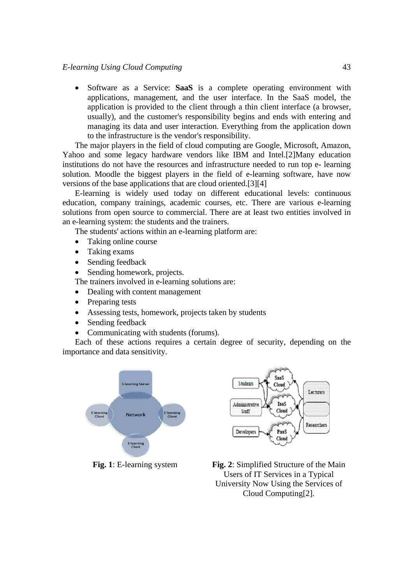• Software as a Service: **SaaS** is a complete operating environment with applications, management, and the user interface. In the SaaS model, the application is provided to the client through a thin client interface (a browser, usually), and the customer's responsibility begins and ends with entering and managing its data and user interaction. Everything from the application down to the infrastructure is the vendor's responsibility.

The major players in the field of cloud computing are Google, Microsoft, Amazon, Yahoo and some legacy hardware vendors like IBM and Intel.[2]Many education institutions do not have the resources and infrastructure needed to run top e- learning solution. Moodle the biggest players in the field of e-learning software, have now versions of the base applications that are cloud oriented.[3][4]

E-learning is widely used today on different educational levels: continuous education, company trainings, academic courses, etc. There are various e-learning solutions from open source to commercial. There are at least two entities involved in an e-learning system: the students and the trainers.

The students' actions within an e-learning platform are:

- Taking online course
- Taking exams
- Sending feedback
- Sending homework, projects.

The trainers involved in e-learning solutions are:

- Dealing with content management
- Preparing tests
- Assessing tests, homework, projects taken by students
- Sending feedback
- Communicating with students (forums).

Each of these actions requires a certain degree of security, depending on the importance and data sensitivity.





**Fig. 1**: E-learning system **Fig. 2**: Simplified Structure of the Main Users of IT Services in a Typical University Now Using the Services of Cloud Computing[2].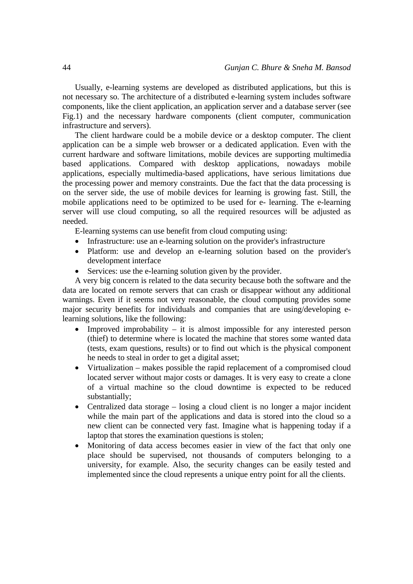Usually, e-learning systems are developed as distributed applications, but this is not necessary so. The architecture of a distributed e-learning system includes software components, like the client application, an application server and a database server (see Fig.1) and the necessary hardware components (client computer, communication infrastructure and servers).

The client hardware could be a mobile device or a desktop computer. The client application can be a simple web browser or a dedicated application. Even with the current hardware and software limitations, mobile devices are supporting multimedia based applications. Compared with desktop applications, nowadays mobile applications, especially multimedia-based applications, have serious limitations due the processing power and memory constraints. Due the fact that the data processing is on the server side, the use of mobile devices for learning is growing fast. Still, the mobile applications need to be optimized to be used for e- learning. The e-learning server will use cloud computing, so all the required resources will be adjusted as needed.

E-learning systems can use benefit from cloud computing using:

- Infrastructure: use an e-learning solution on the provider's infrastructure
- Platform: use and develop an e-learning solution based on the provider's development interface
- Services: use the e-learning solution given by the provider.

A very big concern is related to the data security because both the software and the data are located on remote servers that can crash or disappear without any additional warnings. Even if it seems not very reasonable, the cloud computing provides some major security benefits for individuals and companies that are using/developing elearning solutions, like the following:

- Improved improbability it is almost impossible for any interested person (thief) to determine where is located the machine that stores some wanted data (tests, exam questions, results) or to find out which is the physical component he needs to steal in order to get a digital asset;
- Virtualization makes possible the rapid replacement of a compromised cloud located server without major costs or damages. It is very easy to create a clone of a virtual machine so the cloud downtime is expected to be reduced substantially;
- Centralized data storage losing a cloud client is no longer a major incident while the main part of the applications and data is stored into the cloud so a new client can be connected very fast. Imagine what is happening today if a laptop that stores the examination questions is stolen;
- Monitoring of data access becomes easier in view of the fact that only one place should be supervised, not thousands of computers belonging to a university, for example. Also, the security changes can be easily tested and implemented since the cloud represents a unique entry point for all the clients.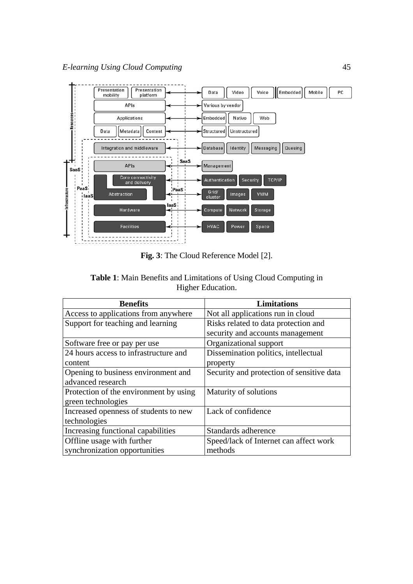

**Fig. 3**: The Cloud Reference Model [2].

| <b>Table 1:</b> Main Benefits and Limitations of Using Cloud Computing in |
|---------------------------------------------------------------------------|
| Higher Education.                                                         |

| <b>Benefits</b>                        | <b>Limitations</b>                        |
|----------------------------------------|-------------------------------------------|
| Access to applications from anywhere   | Not all applications run in cloud         |
| Support for teaching and learning      | Risks related to data protection and      |
|                                        | security and accounts management          |
| Software free or pay per use           | Organizational support                    |
| 24 hours access to infrastructure and  | Dissemination politics, intellectual      |
| content                                | property                                  |
| Opening to business environment and    | Security and protection of sensitive data |
| advanced research                      |                                           |
| Protection of the environment by using | Maturity of solutions                     |
| green technologies                     |                                           |
| Increased openness of students to new  | Lack of confidence                        |
| technologies                           |                                           |
| Increasing functional capabilities     | Standards adherence                       |
| Offline usage with further             | Speed/lack of Internet can affect work    |
| synchronization opportunities          | methods                                   |